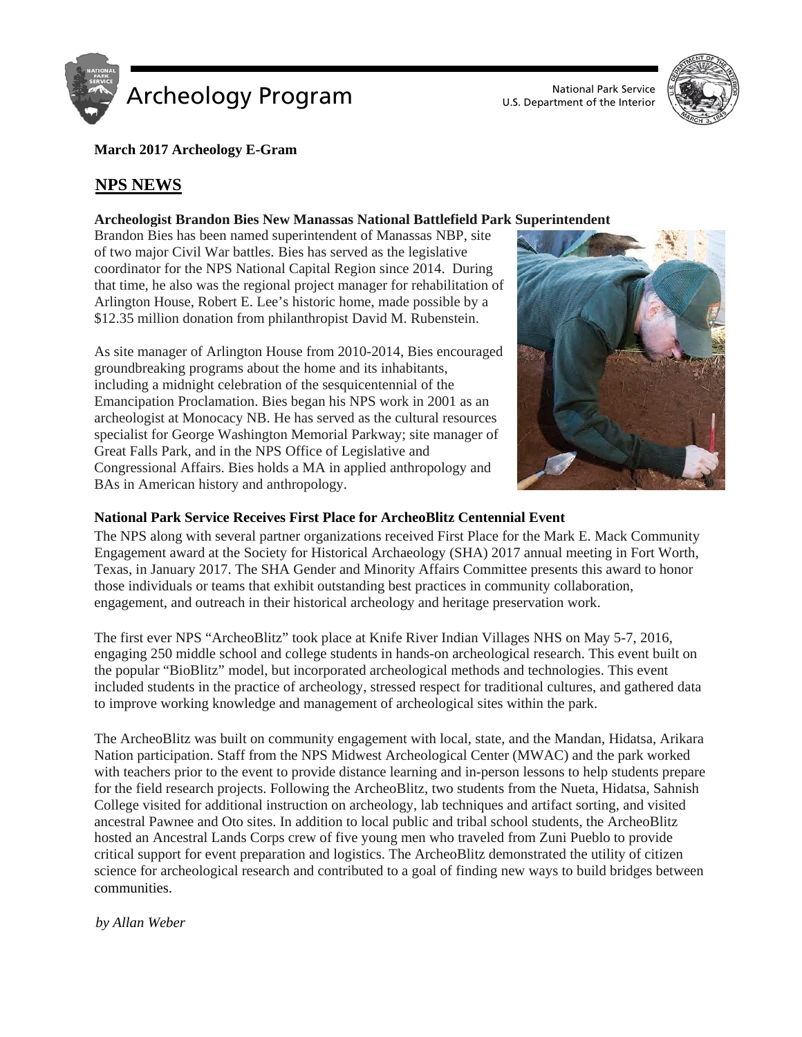

U.S. Department of the Interior



**March 2017 Archeology E-Gram**

# **NPS NEWS**

## **Archeologist Brandon Bies New Manassas National Battlefield Park Superintendent**

Brandon Bies has been named superintendent of Manassas NBP, site of two major Civil War battles. Bies has served as the legislative coordinator for the NPS National Capital Region since 2014. During that time, he also was the regional project manager for rehabilitation of Arlington House, Robert E. Lee's historic home, made possible by a \$12.35 million donation from philanthropist David M. Rubenstein.

As site manager of Arlington House from 2010-2014, Bies encouraged groundbreaking programs about the home and its inhabitants, including a midnight celebration of the sesquicentennial of the Emancipation Proclamation. Bies began his NPS work in 2001 as an archeologist at Monocacy NB. He has served as the cultural resources specialist for George Washington Memorial Parkway; site manager of Great Falls Park, and in the NPS Office of Legislative and Congressional Affairs. Bies holds a MA in applied anthropology and BAs in American history and anthropology.



## **National Park Service Receives First Place for ArcheoBlitz Centennial Event**

The NPS along with several partner organizations received First Place for the Mark E. Mack Community Engagement award at the Society for Historical Archaeology (SHA) 2017 annual meeting in Fort Worth, Texas, in January 2017. The SHA Gender and Minority Affairs Committee presents this award to honor those individuals or teams that exhibit outstanding best practices in community collaboration, engagement, and outreach in their historical archeology and heritage preservation work.

The first ever NPS "ArcheoBlitz" took place at Knife River Indian Villages NHS on May 5-7, 2016, engaging 250 middle school and college students in hands-on archeological research. This event built on the popular "BioBlitz" model, but incorporated archeological methods and technologies. This event included students in the practice of archeology, stressed respect for traditional cultures, and gathered data to improve working knowledge and management of archeological sites within the park.

The ArcheoBlitz was built on community engagement with local, state, and the Mandan, Hidatsa, Arikara Nation participation. Staff from the NPS Midwest Archeological Center (MWAC) and the park worked with teachers prior to the event to provide distance learning and in-person lessons to help students prepare for the field research projects. Following the ArcheoBlitz, two students from the Nueta, Hidatsa, Sahnish College visited for additional instruction on archeology, lab techniques and artifact sorting, and visited ancestral Pawnee and Oto sites. In addition to local public and tribal school students, the ArcheoBlitz hosted an Ancestral Lands Corps crew of five young men who traveled from Zuni Pueblo to provide critical support for event preparation and logistics. The ArcheoBlitz demonstrated the utility of citizen science for archeological research and contributed to a goal of finding new ways to build bridges between communities.

0T*by Allan Weber*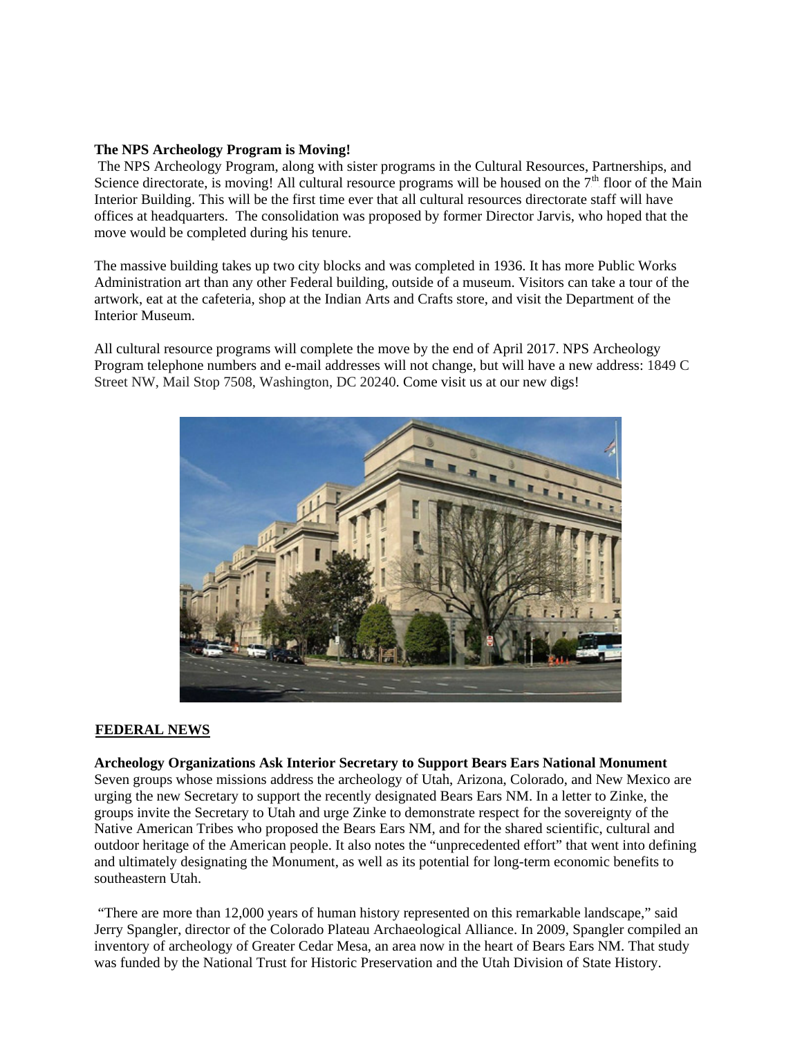#### **The NPS Archeology Program is Moving!**

The NPS Archeology Program, along with sister programs in the Cultural Resources, Partnerships, and Science directorate, is moving! All cultural resource programs will be housed on the  $7<sup>th</sup>$  floor of the Main Interior Building. This will be the first time ever that all cultural resources directorate staff will have offices at headquarters. The consolidation was proposed by former Director Jarvis, who hoped that the move would be completed during his tenure.

The massive building takes up two city blocks and was completed in 1936. It has more Public Works Administration art than any other Federal building, outside of a museum. Visitors can take a tour of the artwork, eat at the cafeteria, shop at the Indian Arts and Crafts store, and visit the Department of the Interior Museum.

All cultural resource programs will complete the move by the end of April 2017. NPS Archeology Program telephone numbers and e-mail addresses will not change, but will have a new address: 1849 C Street NW, Mail Stop 7508, Washington, DC 20240. Come visit us at our new digs!



### **FEDERAL NEWS**

#### **Archeology Organizations Ask Interior Secretary to Support Bears Ears National Monument**

Seven groups whose missions address the archeology of Utah, Arizona, Colorado, and New Mexico are urging the new Secretary to support the recently designated Bears Ears NM. In a letter to Zinke, the groups invite the Secretary to Utah and urge Zinke to demonstrate respect for the sovereignty of the Native American Tribes who proposed the Bears Ears NM, and for the shared scientific, cultural and outdoor heritage of the American people. It also notes the "unprecedented effort" that went into defining and ultimately designating the Monument, as well as its potential for long-term economic benefits to southeastern Utah.

"There are more than 12,000 years of human history represented on this remarkable landscape," said Jerry Spangler, director of the Colorado Plateau Archaeological Alliance. In 2009, Spangler compiled an inventory of archeology of Greater Cedar Mesa, an area now in the heart of Bears Ears NM. That study was funded by the National Trust for Historic Preservation and the Utah Division of State History.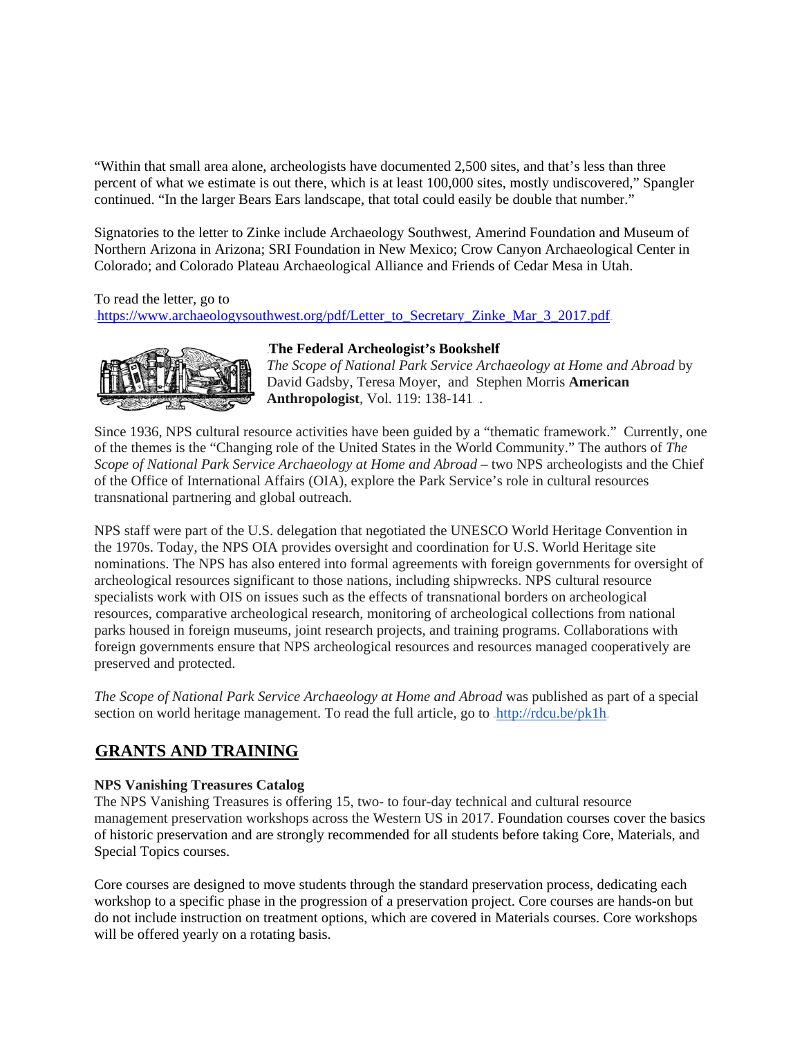"Within that small area alone, archeologists have documented 2,500 sites, and that's less than three percent of what we estimate is out there, which is at least 100,000 sites, mostly undiscovered," Spangler continued. "In the larger Bears Ears landscape, that total could easily be double that number."

Signatories to the letter to Zinke include Archaeology Southwest, Amerind Foundation and Museum of Northern Arizona in Arizona; SRI Foundation in New Mexico; Crow Canyon Archaeological Center in Colorado; and Colorado Plateau Archaeological Alliance and Friends of Cedar Mesa in Utah.

To read the letter, go to https://www.archaeologysouthwest.org/pdf/Letter\_to\_Secretary\_Zinke\_Mar\_3\_2017.pdf



## 39T**The Federal Archeologist's Bookshelf**

*The Scope of National Park Service Archaeology at Home and Abroad* by David Gadsby, Teresa Moyer, and Stephen Morris **American Anthropologist**, Vol. 119: 138-141.

Since 1936, NPS cultural resource activities have been guided by a "thematic framework." Currently, one of the themes is the "Changing role of the United States in the World Community." The authors of *The Scope of National Park Service Archaeology at Home and Abroad* – two NPS archeologists and the Chief of the Office of International Affairs (OIA), explore the Park Service's role in cultural resources transnational partnering and global outreach.

NPS staff were part of the U.S. delegation that negotiated the UNESCO World Heritage Convention in the 1970s. Today, the NPS OIA provides oversight and coordination for U.S. World Heritage site nominations. The NPS has also entered into formal agreements with foreign governments for oversight of archeological resources significant to those nations, including shipwrecks. NPS cultural resource specialists work with OIS on issues such as the effects of transnational borders on archeological resources, comparative archeological research, monitoring of archeological collections from national parks housed in foreign museums, joint research projects, and training programs. Collaborations with foreign governments ensure that NPS archeological resources and resources managed cooperatively are preserved and protected.

*The Scope of National Park Service Archaeology at Home and Abroad* was published as part of a special section on world heritage management. To read the full article, go to http://rdcu.be/pk1h

# **GRANTS AND TRAINING**

# **NPS Vanishing Treasures Catalog**

The NPS Vanishing Treasures is offering 15, two- to four-day technical and cultural resource management preservation workshops across the Western US in 2017. Foundation courses cover the basics of historic preservation and are strongly recommended for all students before taking Core, Materials, and Special Topics courses.

Core courses are designed to move students through the standard preservation process, dedicating each workshop to a specific phase in the progression of a preservation project. Core courses are hands-on but do not include instruction on treatment options, which are covered in Materials courses. Core workshops will be offered yearly on a rotating basis.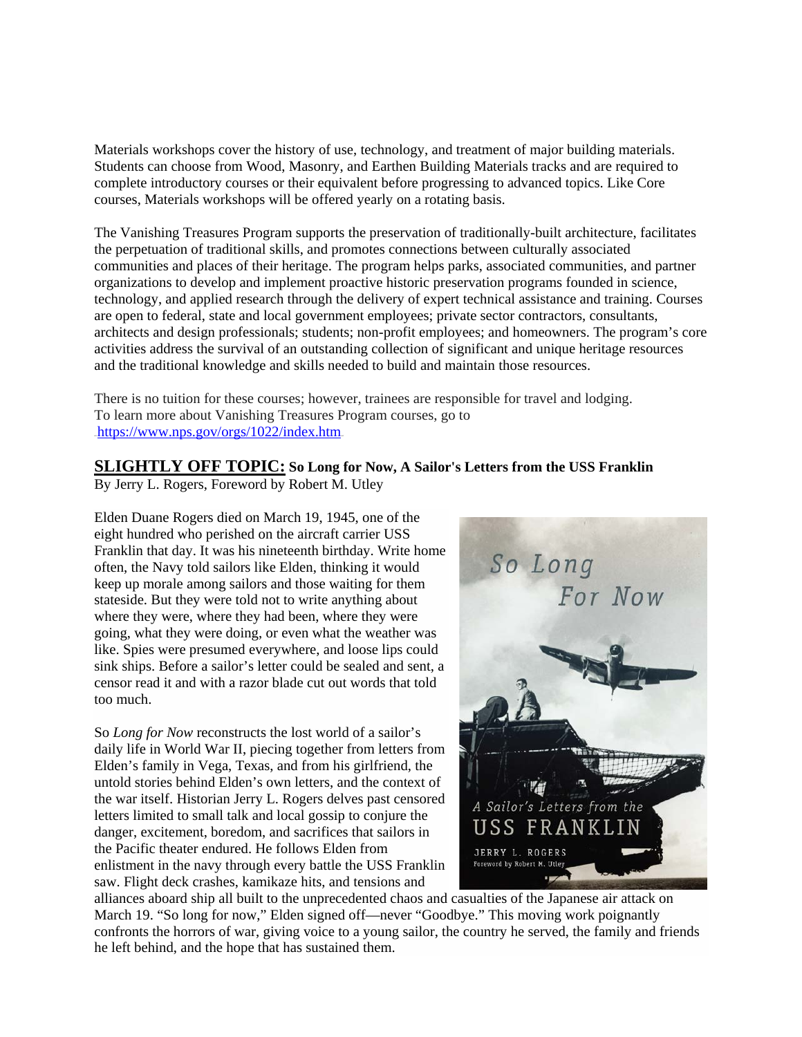Materials workshops cover the history of use, technology, and treatment of major building materials. Students can choose from Wood, Masonry, and Earthen Building Materials tracks and are required to complete introductory courses or their equivalent before progressing to advanced topics. Like Core courses, Materials workshops will be offered yearly on a rotating basis.

The Vanishing Treasures Program supports the preservation of traditionally-built architecture, facilitates the perpetuation of traditional skills, and promotes connections between culturally associated communities and places of their heritage. The program helps parks, associated communities, and partner organizations to develop and implement proactive historic preservation programs founded in science, technology, and applied research through the delivery of expert technical assistance and training. Courses are open to federal, state and local government employees; private sector contractors, consultants, architects and design professionals; students; non-profit employees; and homeowners. The program's core activities address the survival of an outstanding collection of significant and unique heritage resources and the traditional knowledge and skills needed to build and maintain those resources.

There is no tuition for these courses; however, trainees are responsible for travel and lodging. To learn more about Vanishing Treasures Program courses, go to  $https://www.nps.gov/orgs/1022/index.htm_{10}$ 

# **SLIGHTLY OFF TOPIC: So Long for Now, A Sailor's Letters from the USS Franklin**

By Jerry L. Rogers, Foreword by Robert M. Utley

Elden Duane Rogers died on March 19, 1945, one of the eight hundred who perished on the aircraft carrier USS Franklin that day. It was his nineteenth birthday. Write home often, the Navy told sailors like Elden, thinking it would keep up morale among sailors and those waiting for them stateside. But they were told not to write anything about where they were, where they had been, where they were going, what they were doing, or even what the weather was like. Spies were presumed everywhere, and loose lips could sink ships. Before a sailor's letter could be sealed and sent, a censor read it and with a razor blade cut out words that told too much.

So *Long for Now* reconstructs the lost world of a sailor's daily life in World War II, piecing together from letters from Elden's family in Vega, Texas, and from his girlfriend, the untold stories behind Elden's own letters, and the context of the war itself. Historian Jerry L. Rogers delves past censored letters limited to small talk and local gossip to conjure the danger, excitement, boredom, and sacrifices that sailors in the Pacific theater endured. He follows Elden from enlistment in the navy through every battle the USS Franklin saw. Flight deck crashes, kamikaze hits, and tensions and



alliances aboard ship all built to the unprecedented chaos and casualties of the Japanese air attack on March 19. "So long for now," Elden signed off—never "Goodbye." This moving work poignantly confronts the horrors of war, giving voice to a young sailor, the country he served, the family and friends he left behind, and the hope that has sustained them.